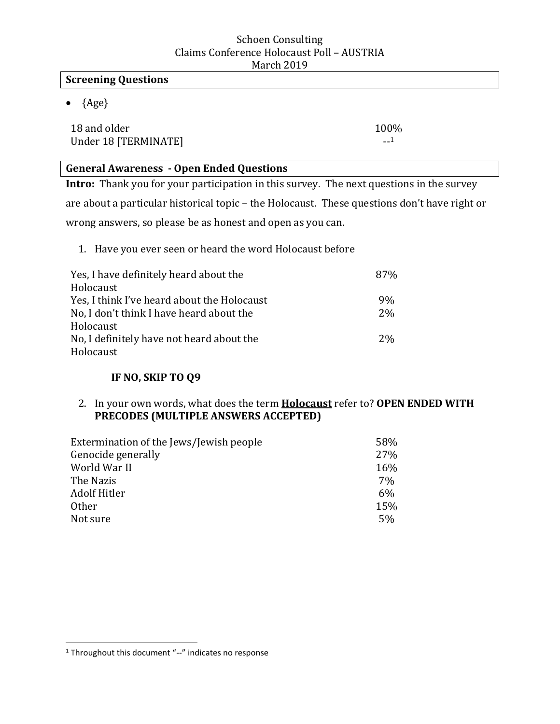### **Screening Questions**

 $\bullet$  {Age}

18 and older 100% Under 18 [TERMINATE] --1

### **General Awareness - Open Ended Questions**

**Intro:** Thank you for your participation in this survey. The next questions in the survey are about a particular historical topic – the Holocaust. These questions don't have right or wrong answers, so please be as honest and open as you can.

1. Have you ever seen or heard the word Holocaust before

| Yes, I have definitely heard about the      | 87%   |
|---------------------------------------------|-------|
| Holocaust                                   |       |
| Yes, I think I've heard about the Holocaust | 9%    |
| No, I don't think I have heard about the    | $2\%$ |
| Holocaust                                   |       |
| No, I definitely have not heard about the   | $2\%$ |
| Holocaust                                   |       |

### **IF NO, SKIP TO Q9**

### 2. In your own words, what does the term **Holocaust** refer to? **OPEN ENDED WITH PRECODES (MULTIPLE ANSWERS ACCEPTED)**

| Extermination of the Jews/Jewish people | 58% |
|-----------------------------------------|-----|
| Genocide generally                      | 27% |
| World War II                            | 16% |
| The Nazis                               | 7%  |
| Adolf Hitler                            | 6%  |
| <b>Other</b>                            | 15% |
| Not sure                                | 5%  |

 $\overline{\phantom{a}}$ 

<sup>&</sup>lt;sup>1</sup> Throughout this document "--" indicates no response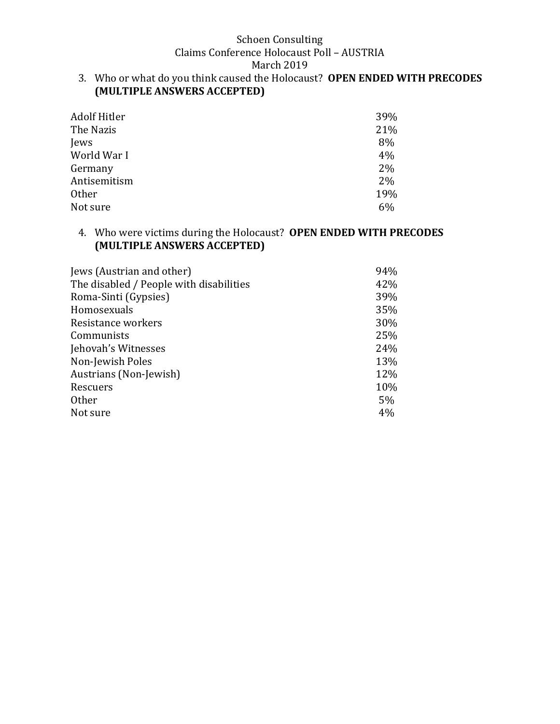### Schoen Consulting

Claims Conference Holocaust Poll – AUSTRIA

March 2019

3. Who or what do you think caused the Holocaust? **OPEN ENDED WITH PRECODES (MULTIPLE ANSWERS ACCEPTED)**

| Adolf Hitler | 39%   |
|--------------|-------|
| The Nazis    | 21%   |
| Jews         | 8%    |
| World War I  | 4%    |
| Germany      | 2%    |
| Antisemitism | $2\%$ |
| <b>Other</b> | 19%   |
| Not sure     | 6%    |

### 4. Who were victims during the Holocaust? **OPEN ENDED WITH PRECODES (MULTIPLE ANSWERS ACCEPTED)**

| Jews (Austrian and other)               | 94% |
|-----------------------------------------|-----|
| The disabled / People with disabilities | 42% |
| Roma-Sinti (Gypsies)                    | 39% |
| Homosexuals                             | 35% |
| Resistance workers                      | 30% |
| Communists                              | 25% |
| Jehovah's Witnesses                     | 24% |
| Non-Jewish Poles                        | 13% |
| Austrians (Non-Jewish)                  | 12% |
| Rescuers                                | 10% |
| <b>Other</b>                            | 5%  |
| Not sure                                | 4%  |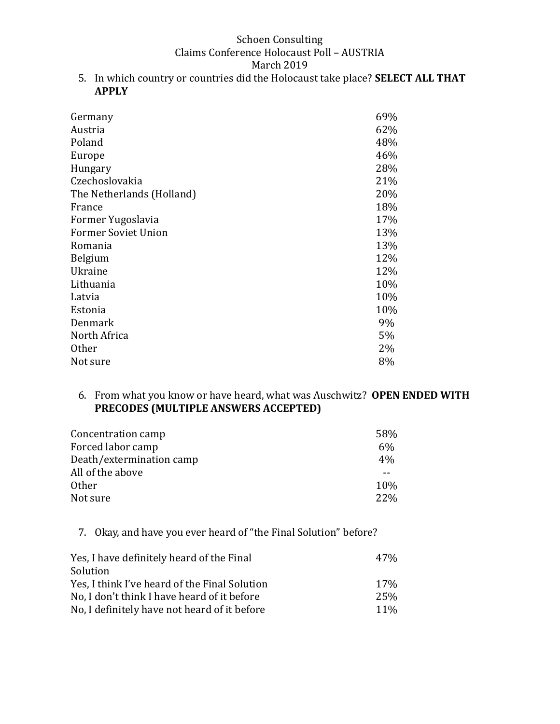5. In which country or countries did the Holocaust take place? **SELECT ALL THAT APPLY**

| Germany                    | 69% |
|----------------------------|-----|
| Austria                    | 62% |
| Poland                     | 48% |
| Europe                     | 46% |
| Hungary                    | 28% |
| Czechoslovakia             | 21% |
| The Netherlands (Holland)  | 20% |
| France                     | 18% |
| Former Yugoslavia          | 17% |
| <b>Former Soviet Union</b> | 13% |
| Romania                    | 13% |
| Belgium                    | 12% |
| Ukraine                    | 12% |
| Lithuania                  | 10% |
| Latvia                     | 10% |
| Estonia                    | 10% |
| Denmark                    | 9%  |
| North Africa               | 5%  |
| <b>Other</b>               | 2%  |
| Not sure                   | 8%  |

#### 6. From what you know or have heard, what was Auschwitz? **OPEN ENDED WITH PRECODES (MULTIPLE ANSWERS ACCEPTED)**

| 58%   |
|-------|
| $6\%$ |
| 4%    |
|       |
| 10%   |
| 22%   |
|       |

## 7. Okay, and have you ever heard of "the Final Solution" before?

| Yes, I have definitely heard of the Final     | 47%             |
|-----------------------------------------------|-----------------|
| Solution                                      |                 |
| Yes, I think I've heard of the Final Solution | 17 <sub>%</sub> |
| No, I don't think I have heard of it before   | 25%             |
| No, I definitely have not heard of it before  | 11 <sup>%</sup> |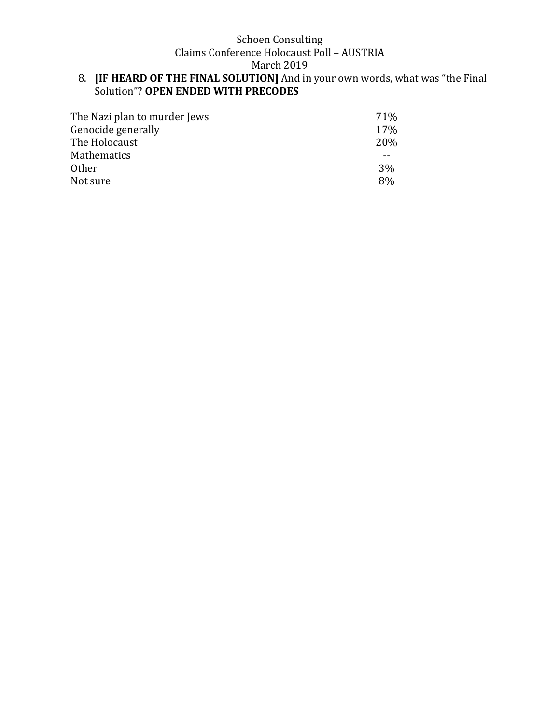March 2019

#### 8. **[IF HEARD OF THE FINAL SOLUTION]** And in your own words, what was "the Final Solution"? **OPEN ENDED WITH PRECODES**

| The Nazi plan to murder Jews | <b>71%</b> |
|------------------------------|------------|
| Genocide generally           | 17%        |
| The Holocaust                | 20%        |
| <b>Mathematics</b>           |            |
| <b>Other</b>                 | 3%         |
| Not sure                     | 8%         |
|                              |            |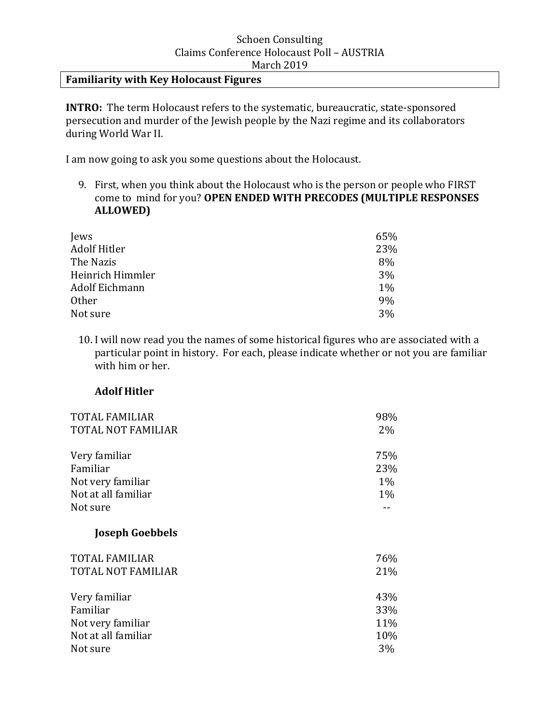### **Familiarity with Key Holocaust Figures**

**INTRO:** The term Holocaust refers to the systematic, bureaucratic, state-sponsored persecution and murder of the Jewish people by the Nazi regime and its collaborators during World War II.

I am now going to ask you some questions about the Holocaust.

9. First, when you think about the Holocaust who is the person or people who FIRST come to mind for you? **OPEN ENDED WITH PRECODES (MULTIPLE RESPONSES ALLOWED)**

| Jews             | 65%   |
|------------------|-------|
| Adolf Hitler     | 23%   |
| The Nazis        | 8%    |
| Heinrich Himmler | 3%    |
| Adolf Eichmann   | $1\%$ |
| <b>Other</b>     | 9%    |
| Not sure         | 3%    |

10. I will now read you the names of some historical figures who are associated with a particular point in history. For each, please indicate whether or not you are familiar with him or her.

#### **Adolf Hitler**

| <b>TOTAL FAMILIAR</b>                                                             | 98%                          |
|-----------------------------------------------------------------------------------|------------------------------|
| <b>TOTAL NOT FAMILIAR</b>                                                         | 2%                           |
| Very familiar<br>Familiar<br>Not very familiar<br>Not at all familiar<br>Not sure | 75%<br>23%<br>$1\%$<br>$1\%$ |
| <b>Joseph Goebbels</b>                                                            |                              |
| <b>TOTAL FAMILIAR</b>                                                             | 76%                          |
| <b>TOTAL NOT FAMILIAR</b>                                                         | 21%                          |
| Very familiar                                                                     | 43%                          |
| Familiar                                                                          | 33%                          |
| Not very familiar                                                                 | 11%                          |
| Not at all familiar                                                               | 10%                          |
| Not sure                                                                          | 3%                           |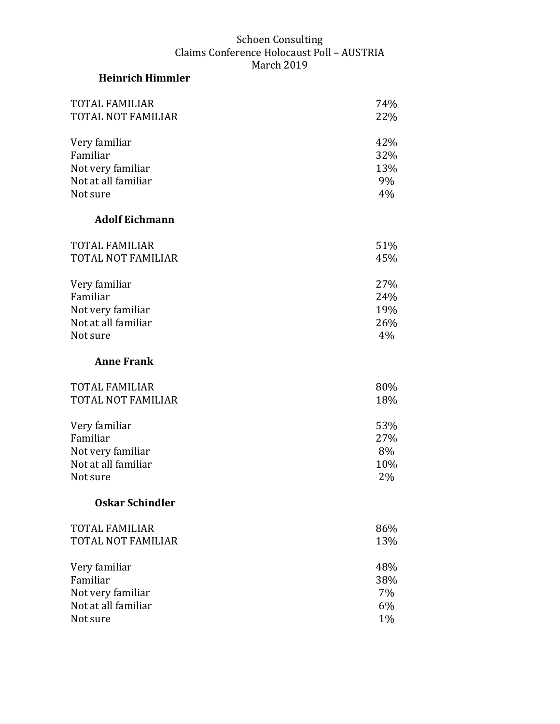# **Heinrich Himmler**

| <b>TOTAL FAMILIAR</b>     | 74% |
|---------------------------|-----|
| <b>TOTAL NOT FAMILIAR</b> | 22% |
| Very familiar             | 42% |
| Familiar                  | 32% |
| Not very familiar         | 13% |
| Not at all familiar       | 9%  |
| Not sure                  | 4%  |
| <b>Adolf Eichmann</b>     |     |
| <b>TOTAL FAMILIAR</b>     | 51% |
| TOTAL NOT FAMILIAR        | 45% |
| Very familiar             | 27% |
| Familiar                  | 24% |
| Not very familiar         | 19% |
| Not at all familiar       | 26% |
| Not sure                  | 4%  |
| <b>Anne Frank</b>         |     |
| <b>TOTAL FAMILIAR</b>     | 80% |
| TOTAL NOT FAMILIAR        | 18% |
| Very familiar             | 53% |
| Familiar                  | 27% |
| Not very familiar         | 8%  |
| Not at all familiar       | 10% |
| Not sure                  | 2%  |
| <b>Oskar Schindler</b>    |     |
| <b>TOTAL FAMILIAR</b>     | 86% |
| <b>TOTAL NOT FAMILIAR</b> | 13% |
| Very familiar             | 48% |
| Familiar                  | 38% |
| Not very familiar         | 7%  |
| Not at all familiar       | 6%  |
| Not sure                  | 1%  |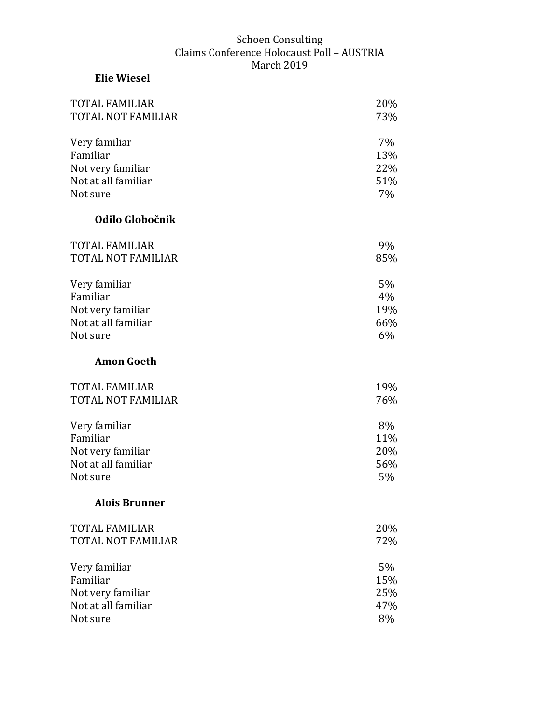**Elie Wiesel** 

# TOTAL FAMILIAR 20% TOTAL NOT FAMILIAR 73% Very familiar 7% Familiar 13% Not very familiar 22% Not at all familiar 51% Not sure 7% **Odilo Globočnik** TOTAL FAMILIAR 9% TOTAL NOT FAMILIAR 85% Very familiar 5% Familiar  $4\%$ Not very familiar 19% Not at all familiar 66% Not sure 6% **Amon Goeth**  TOTAL FAMILIAR 19% TOTAL NOT FAMILIAR 76% Very familiar 8% Familiar 11% Not very familiar 20% Not at all familiar 56% Not sure 5% **Alois Brunner** TOTAL FAMILIAR 20% TOTAL NOT FAMILIAR 72% Very familiar 5% Familiar 15% Not very familiar 25% Not at all familiar  $47\%$ Not sure 8%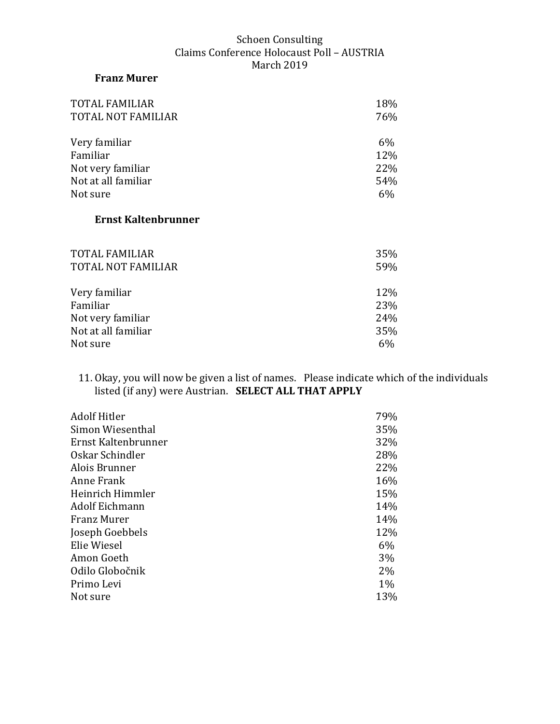### **Franz Murer**

| <b>TOTAL FAMILIAR</b>      | 18%   |
|----------------------------|-------|
| <b>TOTAL NOT FAMILIAR</b>  | 76%   |
| Very familiar              | $6\%$ |
| Familiar                   | 12%   |
| Not very familiar          | 22%   |
| Not at all familiar        | 54%   |
| Not sure                   | 6%    |
| <b>Ernst Kaltenbrunner</b> |       |
|                            |       |
|                            |       |

| 35% |
|-----|
| 59% |
| 12% |
| 23% |
| 24% |
| 35% |
| 6%  |
|     |

11. Okay, you will now be given a list of names. Please indicate which of the individuals listed (if any) were Austrian. **SELECT ALL THAT APPLY** 

| <b>Adolf Hitler</b> | 79%   |
|---------------------|-------|
| Simon Wiesenthal    | 35%   |
| Ernst Kaltenbrunner | 32%   |
| Oskar Schindler     | 28%   |
| Alois Brunner       | 22%   |
| Anne Frank          | 16%   |
| Heinrich Himmler    | 15%   |
| Adolf Eichmann      | 14%   |
| Franz Murer         | 14%   |
| Joseph Goebbels     | 12%   |
| Elie Wiesel         | 6%    |
| Amon Goeth          | 3%    |
| Odilo Globočnik     | $2\%$ |
| Primo Levi          | $1\%$ |
| Not sure            | 13%   |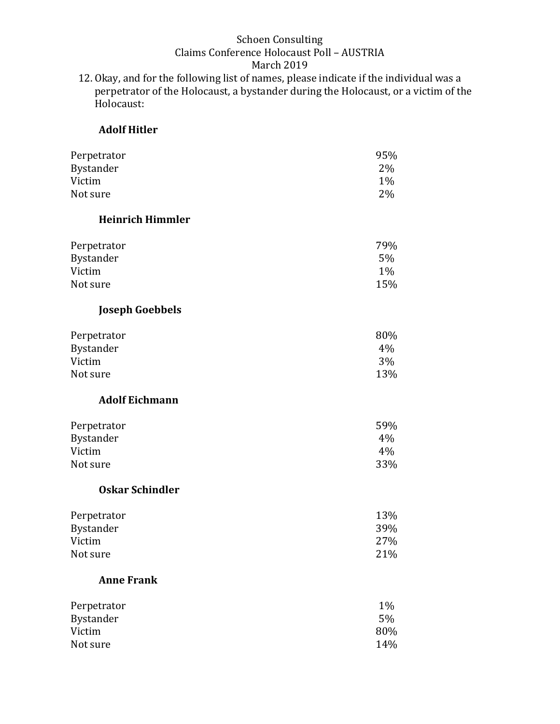12. Okay, and for the following list of names, please indicate if the individual was a perpetrator of the Holocaust, a bystander during the Holocaust, or a victim of the .<br>Holocaust:

#### **Adolf Hitler**

| Perpetrator<br>Bystander<br>Victim | 95%<br>2%<br>$1\%$ |
|------------------------------------|--------------------|
| Not sure                           | 2%                 |
| <b>Heinrich Himmler</b>            |                    |
| Perpetrator                        | 79%                |
| Bystander                          | 5%                 |
| Victim                             | 1%                 |
| Not sure                           | 15%                |
| <b>Joseph Goebbels</b>             |                    |
| Perpetrator                        | 80%                |
| Bystander                          | 4%                 |
| Victim                             | 3%                 |
| Not sure                           | 13%                |
| <b>Adolf Eichmann</b>              |                    |
| Perpetrator                        | 59%                |
| Bystander                          | 4%                 |
| Victim                             | 4%                 |
| Not sure                           | 33%                |
| <b>Oskar Schindler</b>             |                    |
| Perpetrator                        | 13%                |
| Bystander                          | 39%                |
| Victim                             | 27%                |
| Not sure                           | 21%                |
| <b>Anne Frank</b>                  |                    |
| Perpetrator                        | 1%                 |
| Bystander                          | 5%                 |
| Victim                             | 80%                |
| Not sure                           | 14%                |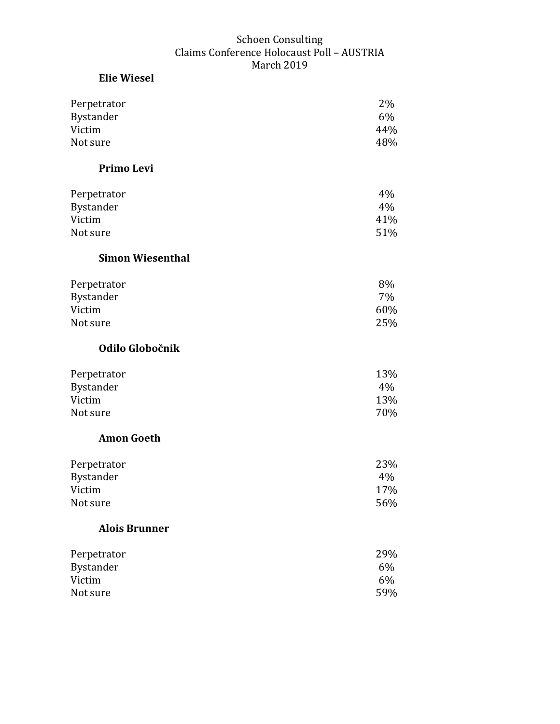# **Elie Wiesel** Perpetrator 2% Bystander 6% Victim  $44\%$ Not sure 48% **Primo Levi**  Perpetrator 4% Bystander 4% and 4% and 4% and 4% and 4% and 4% and 4% and 4% and 4% and 4% and 4% and 4% and 4% and 4% and 4% and 4% and 4% and 4% and 4% and 4% and 4% and 4% and 4% and 4% and 4% and 4% and 4% and 4% and 4% and 4% and 4% Victim  $41\%$ Not sure 51% **Simon Wiesenthal** Perpetrator 8% Bystander 7% and 7% and 7% and 7% and 7% and 7% and 7% and 7% and 7% and 7% and 7% and 7% and 7% and 7% and 7% Victim 60% Not sure 25% **Odilo Globočnik** Perpetrator 13% Bystander 4% Victim 23% Not sure 70% **Amon Goeth**  Perpetrator 23% Bystander 4% and 4% and 4% and 4% and 4% and 4% and 4% and 4% and 4% and 4% and 4% and 4% and 4% and 4% and 4% Victim  $17\%$ Not sure 56% **Alois Brunner**

| Perpetrator | 29% |
|-------------|-----|
| Bystander   | 6%  |
| Victim      | 6%  |
| Not sure    | 59% |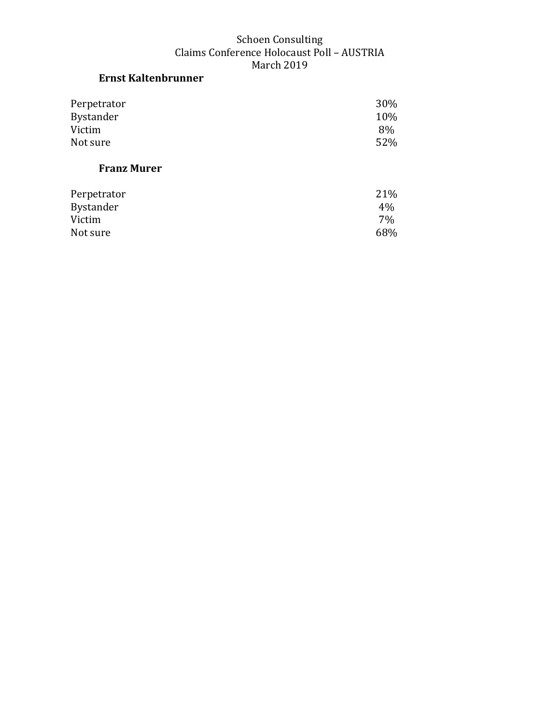## **Ernst Kaltenbrunner**

| Perpetrator | 30% |
|-------------|-----|
| Bystander   | 10% |
| Victim      | 8%  |
| Not sure    | 52% |

# **Franz Murer**

| Perpetrator | 21%   |
|-------------|-------|
| Bystander   | $4\%$ |
| Victim      | 7%    |
| Not sure    | 68%   |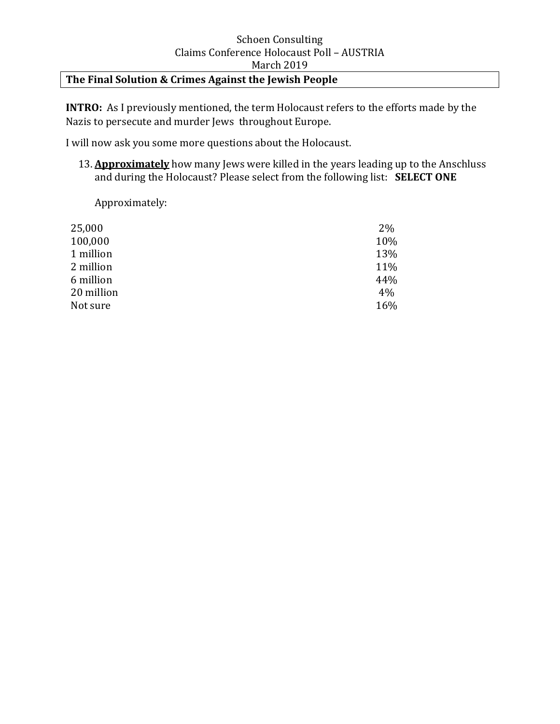# **The Final Solution & Crimes Against the Jewish People**

**INTRO:** As I previously mentioned, the term Holocaust refers to the efforts made by the Nazis to persecute and murder Jews throughout Europe.

I will now ask you some more questions about the Holocaust.

13. **Approximately** how many Jews were killed in the years leading up to the Anschluss and during the Holocaust? Please select from the following list: **SELECT ONE**

Approximately:

| $2\%$ |
|-------|
| 10%   |
| 13%   |
| 11%   |
| 44%   |
| 4%    |
| 16%   |
|       |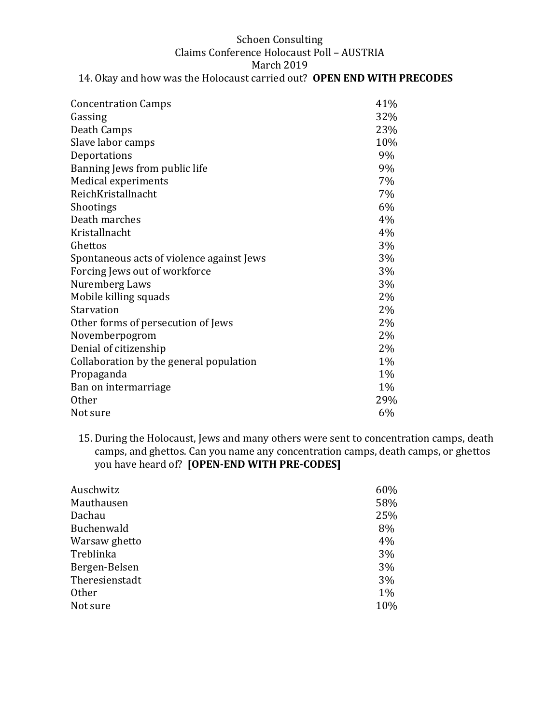#### Schoen Consulting Claims Conference Holocaust Poll – AUSTRIA March 2019 14. Okay and how was the Holocaust carried out? **OPEN END WITH PRECODES**

| <b>Concentration Camps</b>                | 41%   |
|-------------------------------------------|-------|
| Gassing                                   | 32%   |
| Death Camps                               | 23%   |
| Slave labor camps                         | 10%   |
| Deportations                              | 9%    |
| Banning Jews from public life             | 9%    |
| Medical experiments                       | 7%    |
| ReichKristallnacht                        | $7\%$ |
| Shootings                                 | 6%    |
| Death marches                             | 4%    |
| Kristallnacht                             | 4%    |
| Ghettos                                   | 3%    |
| Spontaneous acts of violence against Jews | 3%    |
| Forcing Jews out of workforce             | 3%    |
| Nuremberg Laws                            | 3%    |
| Mobile killing squads                     | 2%    |
| Starvation                                | 2%    |
| Other forms of persecution of Jews        | 2%    |
| Novemberpogrom                            | 2%    |
| Denial of citizenship                     | 2%    |
| Collaboration by the general population   | $1\%$ |
| Propaganda                                | $1\%$ |
| Ban on intermarriage                      | 1%    |
| <b>Other</b>                              | 29%   |
| Not sure                                  | 6%    |
|                                           |       |

15. During the Holocaust, Jews and many others were sent to concentration camps, death camps, and ghettos. Can you name any concentration camps, death camps, or ghettos you have heard of? **[OPEN-END WITH PRE-CODES]** 

| 60%   |
|-------|
| 58%   |
| 25%   |
| 8%    |
| 4%    |
| 3%    |
| 3%    |
| 3%    |
| $1\%$ |
| 10%   |
|       |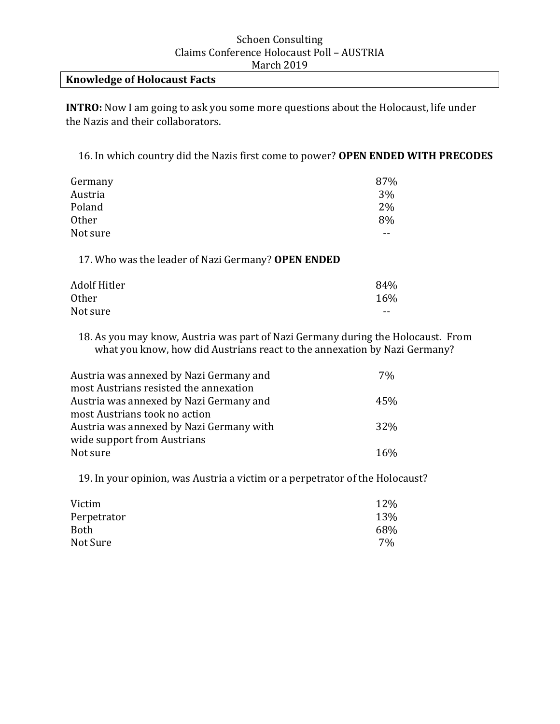### **Knowledge of Holocaust Facts**

**INTRO:** Now I am going to ask you some more questions about the Holocaust, life under the Nazis and their collaborators.

16. In which country did the Nazis first come to power? **OPEN ENDED WITH PRECODES**

| Germany      | 87% |
|--------------|-----|
| Austria      | 3%  |
| Poland       | 2%  |
| <b>Other</b> | 8%  |
| Not sure     | --  |

17. Who was the leader of Nazi Germany? **OPEN ENDED**

| Adolf Hitler | 84%   |
|--------------|-------|
| <b>Other</b> | 16%   |
| Not sure     | $- -$ |

18. As you may know, Austria was part of Nazi Germany during the Holocaust. From what you know, how did Austrians react to the annexation by Nazi Germany?

| Austria was annexed by Nazi Germany and  | $7\%$ |
|------------------------------------------|-------|
| most Austrians resisted the annexation   |       |
| Austria was annexed by Nazi Germany and  | 45%   |
| most Austrians took no action            |       |
| Austria was annexed by Nazi Germany with | 32%   |
| wide support from Austrians              |       |
| Not sure                                 | 16%   |

19. In your opinion, was Austria a victim or a perpetrator of the Holocaust?

| Victim      | 12% |
|-------------|-----|
| Perpetrator | 13% |
| <b>Both</b> | 68% |
| Not Sure    | 7%  |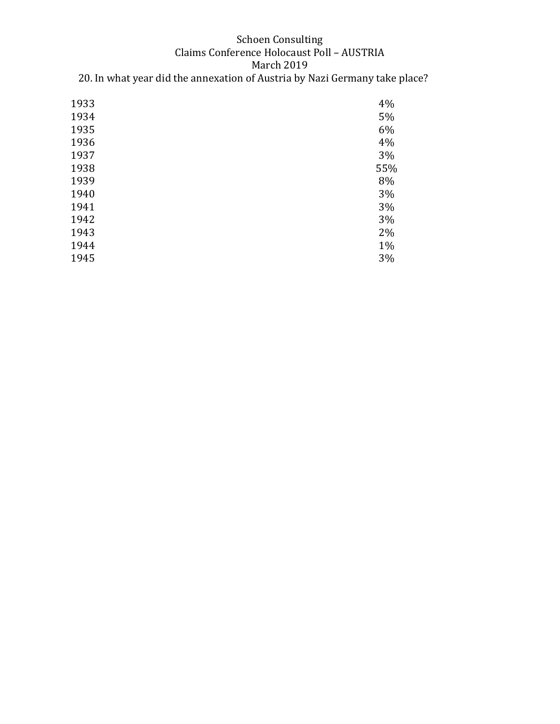### Schoen Consulting Claims Conference Holocaust Poll – AUSTRIA March 2019 20. In what year did the annexation of Austria by Nazi Germany take place?

| 1933 | 4%  |
|------|-----|
| 1934 | 5%  |
| 1935 | 6%  |
| 1936 | 4%  |
| 1937 | 3%  |
| 1938 | 55% |
| 1939 | 8%  |
| 1940 | 3%  |
| 1941 | 3%  |
| 1942 | 3%  |
| 1943 | 2%  |
| 1944 | 1%  |
| 1945 | 3%  |
|      |     |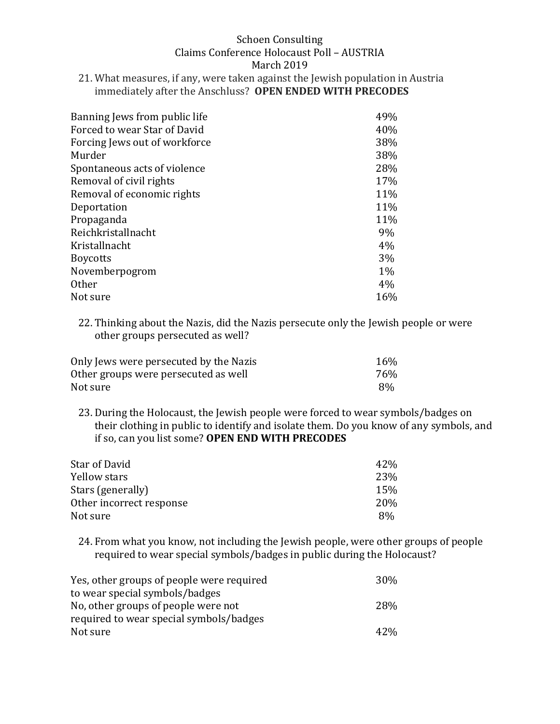21. What measures, if any, were taken against the Jewish population in Austria immediately after the Anschluss? **OPEN ENDED WITH PRECODES** 

| Banning Jews from public life | 49%   |
|-------------------------------|-------|
| Forced to wear Star of David  | 40%   |
| Forcing Jews out of workforce | 38%   |
| Murder                        | 38%   |
| Spontaneous acts of violence  | 28%   |
| Removal of civil rights       | 17%   |
| Removal of economic rights    | 11%   |
| Deportation                   | 11%   |
| Propaganda                    | 11%   |
| Reichkristallnacht            | 9%    |
| Kristallnacht                 | 4%    |
| <b>Boycotts</b>               | $3\%$ |
| Novemberpogrom                | $1\%$ |
| <b>Other</b>                  | 4%    |
| Not sure                      | 16%   |

22. Thinking about the Nazis, did the Nazis persecute only the Jewish people or were other groups persecuted as well?

| Only Jews were persecuted by the Nazis | 16% |
|----------------------------------------|-----|
| Other groups were persecuted as well   | 76% |
| Not sure                               | 8%  |

23. During the Holocaust, the Jewish people were forced to wear symbols/badges on their clothing in public to identify and isolate them. Do you know of any symbols, and if so, can you list some? **OPEN END WITH PRECODES**

| Star of David            | 42%             |
|--------------------------|-----------------|
| Yellow stars             | 23%             |
| Stars (generally)        | 15%             |
| Other incorrect response | 20 <sub>%</sub> |
| Not sure                 | 8%              |

24. From what you know, not including the Jewish people, were other groups of people required to wear special symbols/badges in public during the Holocaust?

| Yes, other groups of people were required | 30%        |
|-------------------------------------------|------------|
| to wear special symbols/badges            |            |
| No, other groups of people were not       | <b>28%</b> |
| required to wear special symbols/badges   |            |
| Not sure                                  | 42%        |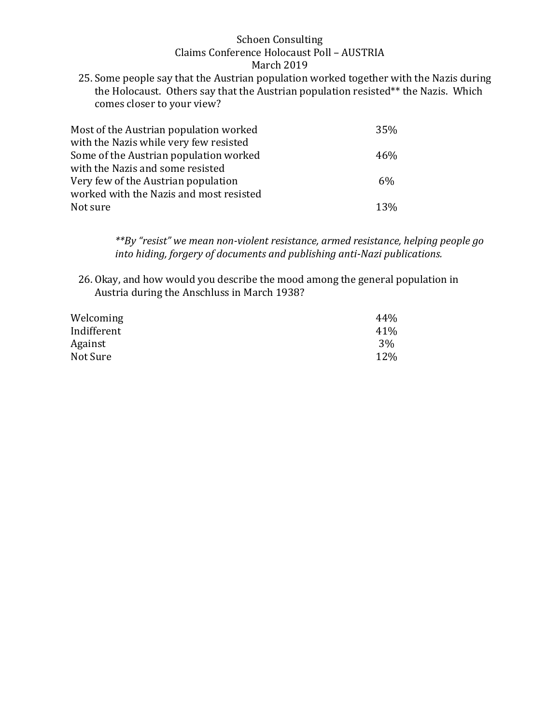25. Some people say that the Austrian population worked together with the Nazis during the Holocaust. Others say that the Austrian population resisted\*\* the Nazis. Which comes closer to your view?

| Most of the Austrian population worked  | 35%   |
|-----------------------------------------|-------|
| with the Nazis while very few resisted  |       |
| Some of the Austrian population worked  | 46%   |
| with the Nazis and some resisted        |       |
| Very few of the Austrian population     | $6\%$ |
| worked with the Nazis and most resisted |       |
| Not sure                                | 13%   |

*\*\*By "resist" we mean non-violent resistance, armed resistance, helping people go into hiding, forgery of documents and publishing anti-Nazi publications.* 

26. Okay, and how would you describe the mood among the general population in Austria during the Anschluss in March 1938?

| Welcoming   | 44% |
|-------------|-----|
| Indifferent | 41% |
| Against     | 3%  |
| Not Sure    | 12% |
|             |     |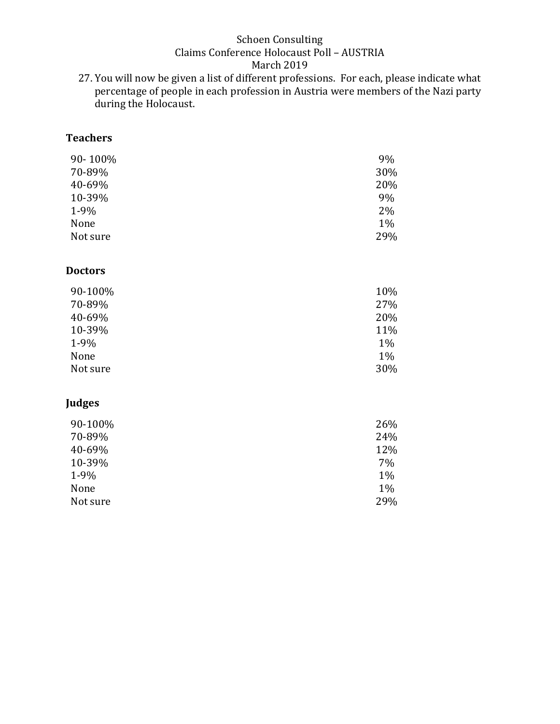27. You will now be given a list of different professions. For each, please indicate what percentage of people in each profession in Austria were members of the Nazi party during the Holocaust.

## **Teachers**

| 90-100%  | 9%    |
|----------|-------|
| 70-89%   | 30%   |
| 40-69%   | 20%   |
| 10-39%   | 9%    |
| $1-9%$   | 2%    |
| None     | $1\%$ |
| Not sure | 29%   |

#### **Doctors**

| 90-100%  | 10%   |
|----------|-------|
| 70-89%   | 27%   |
| 40-69%   | 20%   |
| 10-39%   | 11%   |
| $1-9%$   | $1\%$ |
| None     | $1\%$ |
| Not sure | 30%   |

### **Judges**

| 90-100%  | 26%   |
|----------|-------|
| 70-89%   | 24%   |
| 40-69%   | 12%   |
| 10-39%   | 7%    |
| $1-9%$   | $1\%$ |
| None     | $1\%$ |
| Not sure | 29%   |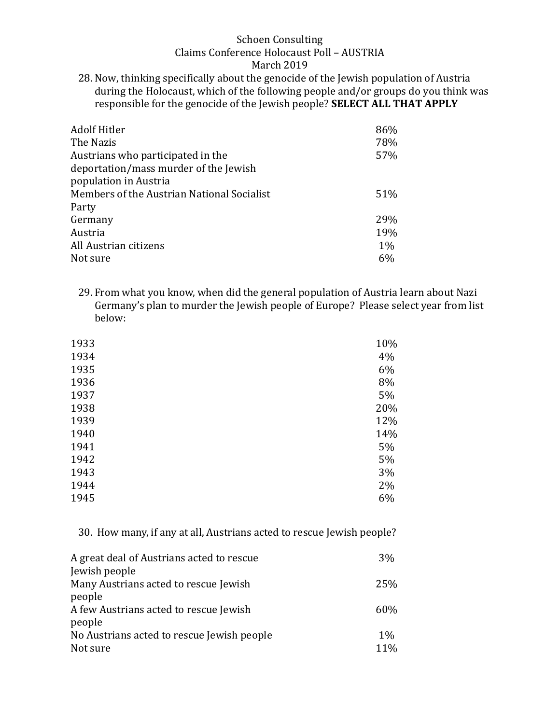28. Now, thinking specifically about the genocide of the Jewish population of Austria during the Holocaust, which of the following people and/or groups do you think was responsible for the genocide of the Jewish people? **SELECT ALL THAT APPLY** 

| <b>Adolf Hitler</b>                        | 86%   |
|--------------------------------------------|-------|
| The Nazis                                  | 78%   |
| Austrians who participated in the          | 57%   |
| deportation/mass murder of the Jewish      |       |
| population in Austria                      |       |
| Members of the Austrian National Socialist | 51%   |
| Party                                      |       |
| Germany                                    | 29%   |
| Austria                                    | 19%   |
| All Austrian citizens                      | $1\%$ |
| Not sure                                   | 6%    |

29. From what you know, when did the general population of Austria learn about Nazi Germany's plan to murder the Jewish people of Europe? Please select year from list below:

| 1934<br>4%<br>1935<br>6%<br>1936<br>8%<br>1937<br>5%<br>1938<br>1939<br>1940<br>1941<br>5%<br>1942<br>5%<br>1943<br>3%<br>1944<br>2%<br>1945<br>6% | 1933 | 10% |
|----------------------------------------------------------------------------------------------------------------------------------------------------|------|-----|
|                                                                                                                                                    |      |     |
|                                                                                                                                                    |      |     |
|                                                                                                                                                    |      |     |
|                                                                                                                                                    |      |     |
|                                                                                                                                                    |      | 20% |
|                                                                                                                                                    |      | 12% |
|                                                                                                                                                    |      | 14% |
|                                                                                                                                                    |      |     |
|                                                                                                                                                    |      |     |
|                                                                                                                                                    |      |     |
|                                                                                                                                                    |      |     |
|                                                                                                                                                    |      |     |

30. How many, if any at all, Austrians acted to rescue Jewish people?

| A great deal of Austrians acted to rescue  | 3%    |
|--------------------------------------------|-------|
| Jewish people                              |       |
| Many Austrians acted to rescue Jewish      | 25%   |
| people                                     |       |
| A few Austrians acted to rescue Jewish     | 60%   |
| people                                     |       |
| No Austrians acted to rescue Jewish people | $1\%$ |
| Not sure                                   | 11%   |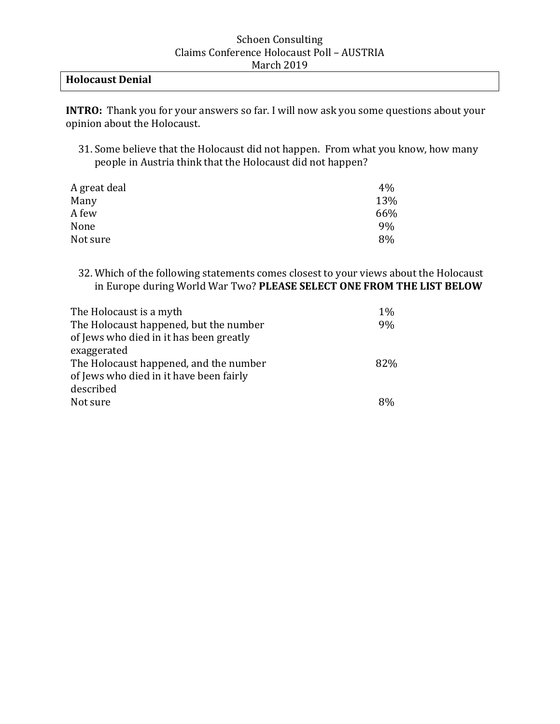### **Holocaust Denial**

**INTRO:** Thank you for your answers so far. I will now ask you some questions about your opinion about the Holocaust.

31. Some believe that the Holocaust did not happen. From what you know, how many people in Austria think that the Holocaust did not happen?

| A great deal | $4\%$ |
|--------------|-------|
| Many         | 13%   |
| A few        | 66%   |
| None         | 9%    |
| Not sure     | 8%    |
|              |       |

32. Which of the following statements comes closest to your views about the Holocaust in Europe during World War Two? **PLEASE SELECT ONE FROM THE LIST BELOW**

| The Holocaust is a myth                 | $1\%$ |
|-----------------------------------------|-------|
| The Holocaust happened, but the number  | 9%    |
| of Jews who died in it has been greatly |       |
| exaggerated                             |       |
| The Holocaust happened, and the number  | 82%   |
| of Jews who died in it have been fairly |       |
| described                               |       |
| Not sure                                | 8%    |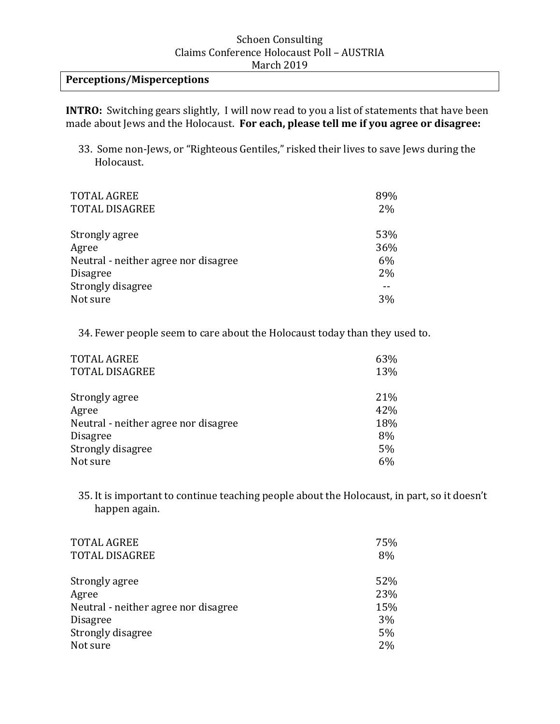## **Perceptions/Misperceptions**

**INTRO:** Switching gears slightly, I will now read to you a list of statements that have been made about Jews and the Holocaust. **For each, please tell me if you agree or disagree:** 

33. Some non-Jews, or "Righteous Gentiles," risked their lives to save Jews during the Holocaust.

| <b>TOTAL AGREE</b><br><b>TOTAL DISAGREE</b> | 89%<br>$2\%$ |
|---------------------------------------------|--------------|
| Strongly agree                              | 53%          |
| Agree                                       | 36%          |
| Neutral - neither agree nor disagree        | 6%           |
| <b>Disagree</b>                             | 2%           |
| Strongly disagree                           |              |
| Not sure                                    | 3%           |

34. Fewer people seem to care about the Holocaust today than they used to.

| <b>TOTAL AGREE</b>                   | 63% |
|--------------------------------------|-----|
| <b>TOTAL DISAGREE</b>                | 13% |
| Strongly agree                       | 21% |
| Agree                                | 42% |
| Neutral - neither agree nor disagree | 18% |
| <b>Disagree</b>                      | 8%  |
| Strongly disagree                    | 5%  |
| Not sure                             | 6%  |

35. It is important to continue teaching people about the Holocaust, in part, so it doesn't happen again.

| <b>TOTAL AGREE</b>                   | 75% |
|--------------------------------------|-----|
| <b>TOTAL DISAGREE</b>                | 8%  |
| Strongly agree                       | 52% |
| Agree                                | 23% |
| Neutral - neither agree nor disagree | 15% |
| <b>Disagree</b>                      | 3%  |
| Strongly disagree                    | 5%  |
| Not sure                             | 2%  |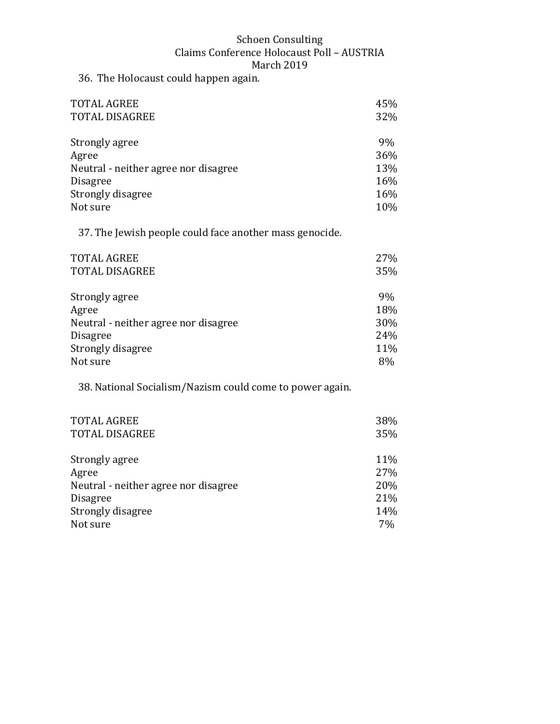36. The Holocaust could happen again.

| <b>TOTAL AGREE</b>                   | 45% |
|--------------------------------------|-----|
| <b>TOTAL DISAGREE</b>                | 32% |
|                                      |     |
| Strongly agree                       | 9%  |
| Agree                                | 36% |
| Neutral - neither agree nor disagree | 13% |
| <b>Disagree</b>                      | 16% |
| Strongly disagree                    | 16% |
| Not sure                             | 10% |

37. The Jewish people could face another mass genocide.

| <b>TOTAL AGREE</b>                   | 27% |
|--------------------------------------|-----|
| TOTAL DISAGREE                       | 35% |
| Strongly agree                       | 9%  |
| Agree                                | 18% |
| Neutral - neither agree nor disagree | 30% |
| <b>Disagree</b>                      | 24% |
| Strongly disagree                    | 11% |
| Not sure                             | 8%  |

38. National Socialism/Nazism could come to power again.

| <b>TOTAL AGREE</b>                   | 38% |
|--------------------------------------|-----|
| <b>TOTAL DISAGREE</b>                | 35% |
| Strongly agree                       | 11% |
| Agree                                | 27% |
| Neutral - neither agree nor disagree | 20% |
| <b>Disagree</b>                      | 21% |
| Strongly disagree                    | 14% |
| Not sure                             | 7%  |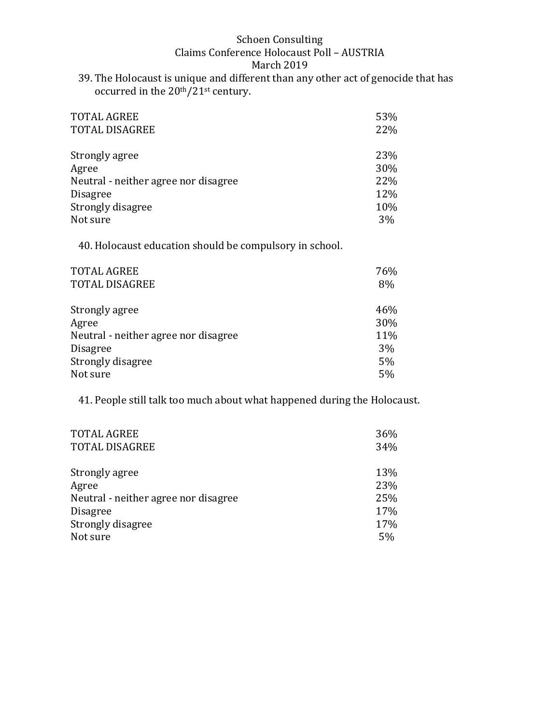39. The Holocaust is unique and different than any other act of genocide that has occurred in the 20th/21st century.

| <b>TOTAL AGREE</b>                   | 53% |
|--------------------------------------|-----|
| <b>TOTAL DISAGREE</b>                | 22% |
| Strongly agree                       | 23% |
| Agree                                | 30% |
| Neutral - neither agree nor disagree | 22% |
| <b>Disagree</b>                      | 12% |
| Strongly disagree                    | 10% |
| Not sure                             | 3%  |

40. Holocaust education should be compulsory in school.

| <b>TOTAL AGREE</b><br><b>TOTAL DISAGREE</b> | 76%<br>8% |
|---------------------------------------------|-----------|
| Strongly agree                              | 46%       |
| Agree                                       | 30%       |
| Neutral - neither agree nor disagree        | 11%       |
| <b>Disagree</b>                             | 3%        |
| Strongly disagree                           | 5%        |
| Not sure                                    | 5%        |

41. People still talk too much about what happened during the Holocaust.

| <b>TOTAL AGREE</b>                   | 36% |
|--------------------------------------|-----|
| <b>TOTAL DISAGREE</b>                | 34% |
| Strongly agree                       | 13% |
| Agree                                | 23% |
| Neutral - neither agree nor disagree | 25% |
| <b>Disagree</b>                      | 17% |
| Strongly disagree                    | 17% |
| Not sure                             | 5%  |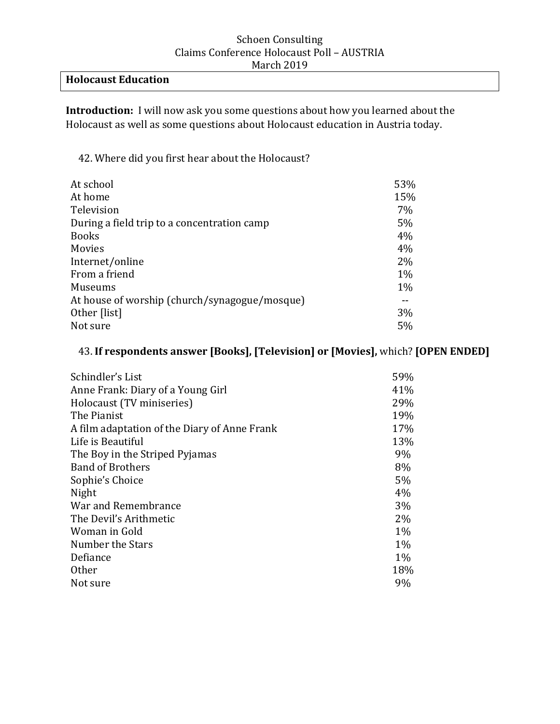## **Holocaust Education**

**Introduction:** I will now ask you some questions about how you learned about the Holocaust as well as some questions about Holocaust education in Austria today.

42. Where did you first hear about the Holocaust?

| At school                                     | 53%   |
|-----------------------------------------------|-------|
| At home                                       | 15%   |
| Television                                    | $7\%$ |
| During a field trip to a concentration camp   | 5%    |
| <b>Books</b>                                  | 4%    |
| Movies                                        | 4%    |
| Internet/online                               | $2\%$ |
| From a friend                                 | $1\%$ |
| <b>Museums</b>                                | $1\%$ |
| At house of worship (church/synagogue/mosque) |       |
| Other [list]                                  | 3%    |
| Not sure                                      | $5\%$ |

### 43. **If respondents answer [Books], [Television] or [Movies],** which? **[OPEN ENDED]**

| Schindler's List                             | 59%   |
|----------------------------------------------|-------|
| Anne Frank: Diary of a Young Girl            | 41%   |
| Holocaust (TV miniseries)                    | 29%   |
| The Pianist                                  | 19%   |
| A film adaptation of the Diary of Anne Frank | 17%   |
| Life is Beautiful                            | 13%   |
| The Boy in the Striped Pyjamas               | 9%    |
| <b>Band of Brothers</b>                      | 8%    |
| Sophie's Choice                              | 5%    |
| Night                                        | 4%    |
| War and Remembrance                          | 3%    |
| The Devil's Arithmetic                       | 2%    |
| Woman in Gold                                | $1\%$ |
| Number the Stars                             | $1\%$ |
| Defiance                                     | $1\%$ |
| <b>Other</b>                                 | 18%   |
| Not sure                                     | 9%    |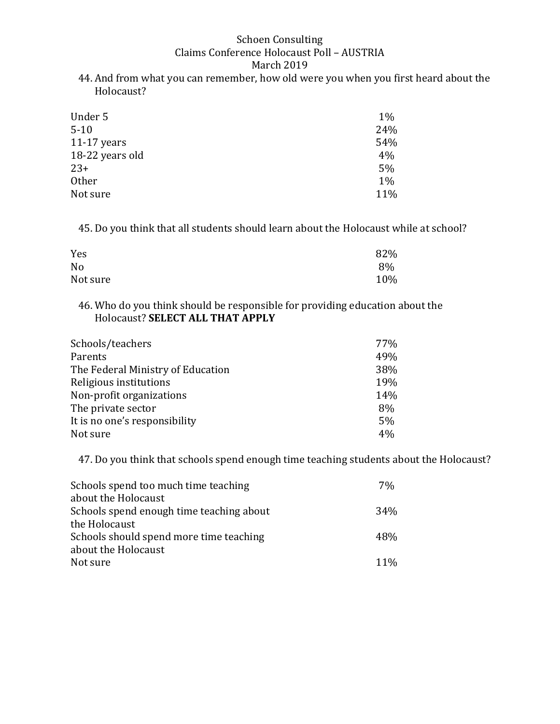44. And from what you can remember, how old were you when you first heard about the Holocaust?

| Under 5         | $1\%$ |
|-----------------|-------|
| $5 - 10$        | 24%   |
| $11-17$ years   | 54%   |
| 18-22 years old | 4%    |
| $23+$           | 5%    |
| <b>Other</b>    | $1\%$ |
| Not sure        | 11%   |

45. Do you think that all students should learn about the Holocaust while at school?

| Yes      | 82% |
|----------|-----|
| No       | 8%  |
| Not sure | 10% |

46. Who do you think should be responsible for providing education about the Holocaust? **SELECT ALL THAT APPLY**

| 77% |
|-----|
| 49% |
| 38% |
| 19% |
| 14% |
| 8%  |
| 5%  |
| 4%  |
|     |

47. Do you think that schools spend enough time teaching students about the Holocaust?

| Schools spend too much time teaching     | 7%              |
|------------------------------------------|-----------------|
| about the Holocaust                      |                 |
| Schools spend enough time teaching about | 34 <sub>%</sub> |
| the Holocaust                            |                 |
| Schools should spend more time teaching  | 48%             |
| about the Holocaust                      |                 |
| Not sure                                 | $11\%$          |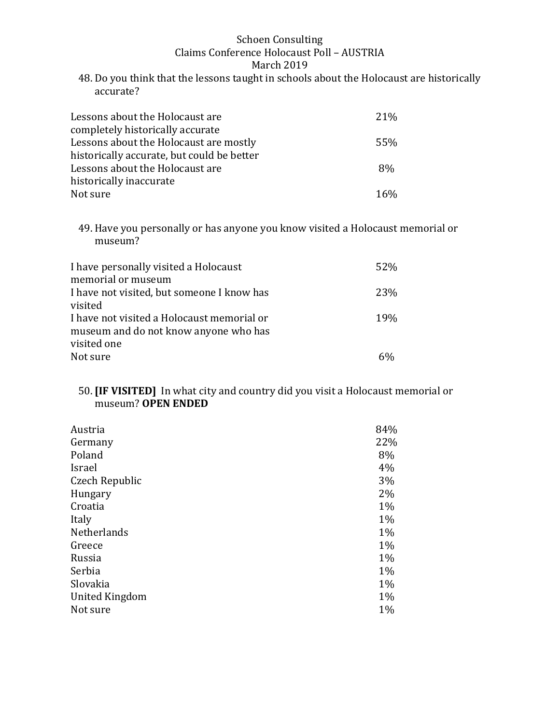48. Do you think that the lessons taught in schools about the Holocaust are historically accurate?

| Lessons about the Holocaust are            | 21\% |
|--------------------------------------------|------|
| completely historically accurate           |      |
| Lessons about the Holocaust are mostly     | 55%  |
| historically accurate, but could be better |      |
| Lessons about the Holocaust are            | 8%   |
| historically inaccurate                    |      |
| Not sure                                   | 16%  |

49. Have you personally or has anyone you know visited a Holocaust memorial or museum?

| I have personally visited a Holocaust<br>memorial or museum | 52%        |
|-------------------------------------------------------------|------------|
|                                                             |            |
| I have not visited, but someone I know has<br>visited       | 23%        |
| I have not visited a Holocaust memorial or                  | <b>19%</b> |
| museum and do not know anyone who has                       |            |
| visited one                                                 |            |
| Not sure                                                    |            |

### 50. **[IF VISITED]** In what city and country did you visit a Holocaust memorial or museum? **OPEN ENDED**

| Austria        | 84%   |
|----------------|-------|
| Germany        | 22%   |
| Poland         | 8%    |
| Israel         | 4%    |
| Czech Republic | 3%    |
| Hungary        | 2%    |
| Croatia        | $1\%$ |
| Italy          | $1\%$ |
| Netherlands    | $1\%$ |
| Greece         | $1\%$ |
| Russia         | $1\%$ |
| Serbia         | $1\%$ |
| Slovakia       | $1\%$ |
| United Kingdom | $1\%$ |
| Not sure       | 1%    |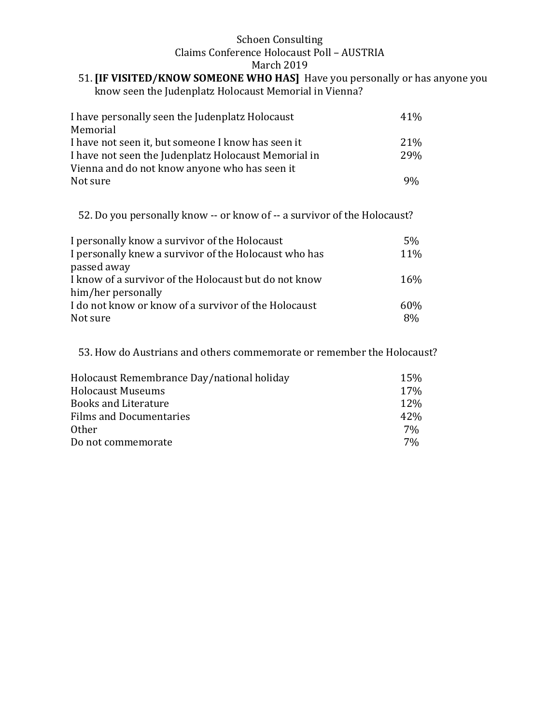#### 51. **[IF VISITED/KNOW SOMEONE WHO HAS]** Have you personally or has anyone you know seen the Judenplatz Holocaust Memorial in Vienna?

| I have personally seen the Judenplatz Holocaust      | 41%        |
|------------------------------------------------------|------------|
| Memorial                                             |            |
| I have not seen it, but someone I know has seen it   | 21\%       |
| I have not seen the Judenplatz Holocaust Memorial in | <b>29%</b> |
| Vienna and do not know anyone who has seen it        |            |
| Not sure                                             | 9%         |

52. Do you personally know -- or know of -- a survivor of the Holocaust?

| I personally know a survivor of the Holocaust         | 5%  |
|-------------------------------------------------------|-----|
| I personally knew a survivor of the Holocaust who has | 11% |
| passed away                                           |     |
| I know of a survivor of the Holocaust but do not know | 16% |
| him/her personally                                    |     |
| I do not know or know of a survivor of the Holocaust  | 60% |
| Not sure                                              | 8%  |

53. How do Austrians and others commemorate or remember the Holocaust?

| Holocaust Remembrance Day/national holiday | 15%   |
|--------------------------------------------|-------|
| <b>Holocaust Museums</b>                   | 17%   |
| <b>Books and Literature</b>                | 12%   |
| <b>Films and Documentaries</b>             | 42%   |
| <b>Other</b>                               | 7%    |
| Do not commemorate                         | $7\%$ |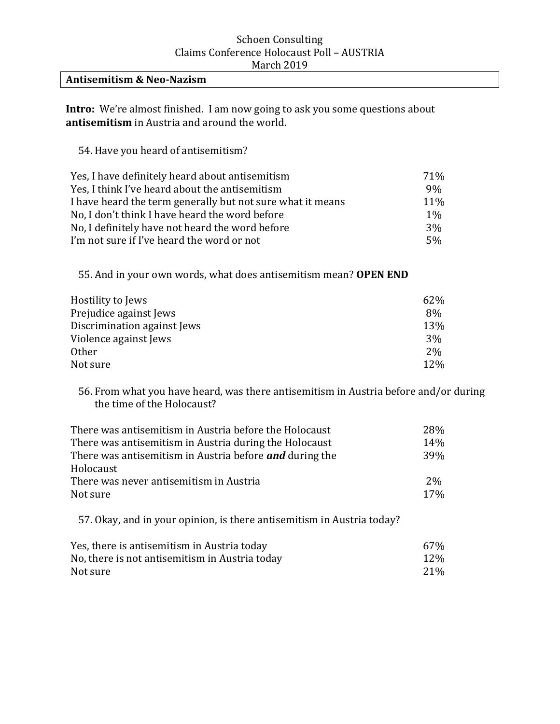### **Antisemitism & Neo-Nazism**

**Intro:** We're almost finished. I am now going to ask you some questions about **antisemitism** in Austria and around the world.

54. Have you heard of antisemitism?

| Yes, I have definitely heard about antisemitism            | 71%        |
|------------------------------------------------------------|------------|
| Yes, I think I've heard about the antisemitism             | 9%         |
| I have heard the term generally but not sure what it means | <b>11%</b> |
| No, I don't think I have heard the word before             | $1\%$      |
| No, I definitely have not heard the word before            | 3%         |
| I'm not sure if I've heard the word or not                 | $5\%$      |

55. And in your own words, what does antisemitism mean? **OPEN END** 

| Hostility to Jews           | 62% |
|-----------------------------|-----|
| Prejudice against Jews      | 8%  |
| Discrimination against Jews | 13% |
| Violence against Jews       | 3%  |
| <b>Other</b>                | 2%  |
| Not sure                    | 12% |

56. From what you have heard, was there antisemitism in Austria before and/or during the time of the Holocaust?

| There was antisemitism in Austria before the Holocaust         | 28%   |
|----------------------------------------------------------------|-------|
| There was antisemitism in Austria during the Holocaust         | 14%   |
| There was antisemitism in Austria before <b>and</b> during the | 39%   |
| Holocaust                                                      |       |
| There was never antisemitism in Austria                        | $2\%$ |
| Not sure                                                       | 17%   |
|                                                                |       |

57. Okay, and in your opinion, is there antisemitism in Austria today?

| Yes, there is antisemitism in Austria today    | 67%             |
|------------------------------------------------|-----------------|
| No, there is not antisemitism in Austria today | 12%             |
| Not sure                                       | 21 <sup>%</sup> |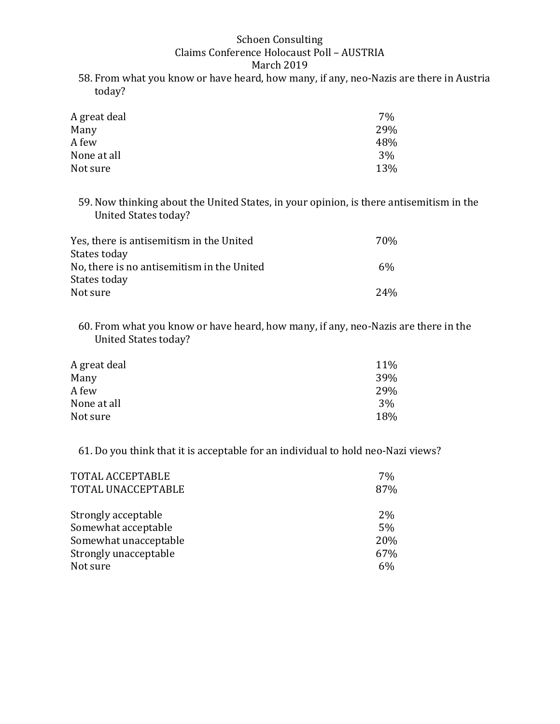58. From what you know or have heard, how many, if any, neo-Nazis are there in Austria today?

| 7%  |
|-----|
| 29% |
| 48% |
| 3%  |
| 13% |
|     |

59. Now thinking about the United States, in your opinion, is there antisemitism in the United States today?

| Yes, there is antisemitism in the United   | 70% |
|--------------------------------------------|-----|
| States today                               |     |
| No, there is no antisemitism in the United | 6%  |
| States today                               |     |
| Not sure                                   | 24% |

60. From what you know or have heard, how many, if any, neo-Nazis are there in the United States today?

| 11%        |
|------------|
| <b>39%</b> |
| 29%        |
| 3%         |
| 18%        |
|            |

61. Do you think that it is acceptable for an individual to hold neo-Nazi views?

| TOTAL ACCEPTABLE<br>TOTAL UNACCEPTABLE | 7%<br>87% |
|----------------------------------------|-----------|
| Strongly acceptable                    | 2%        |
| Somewhat acceptable                    | 5%        |
| Somewhat unacceptable                  | 20%       |
| Strongly unacceptable                  | 67%       |
| Not sure                               | 6%        |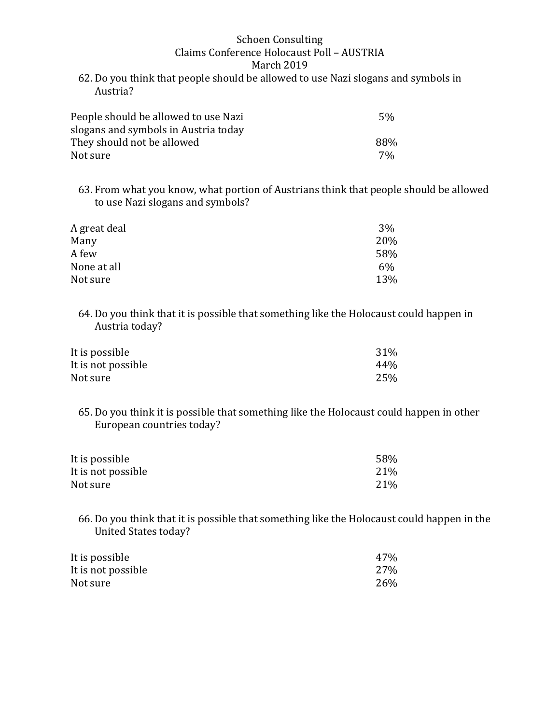62. Do you think that people should be allowed to use Nazi slogans and symbols in Austria?

| People should be allowed to use Nazi | .5%   |
|--------------------------------------|-------|
| slogans and symbols in Austria today |       |
| They should not be allowed           | 88%   |
| Not sure                             | $7\%$ |

63. From what you know, what portion of Austrians think that people should be allowed to use Nazi slogans and symbols?

| A great deal | 3%  |
|--------------|-----|
| Many         | 20% |
| A few        | 58% |
| None at all  | 6%  |
| Not sure     | 13% |

64. Do you think that it is possible that something like the Holocaust could happen in Austria today?

| It is possible     | 31% |
|--------------------|-----|
| It is not possible | 44% |
| Not sure           | 25% |

65. Do you think it is possible that something like the Holocaust could happen in other European countries today?

| It is possible     | 58% |
|--------------------|-----|
| It is not possible | 21% |
| Not sure           | 21% |

66. Do you think that it is possible that something like the Holocaust could happen in the United States today?

| It is possible     | 47% |
|--------------------|-----|
| It is not possible | 27% |
| Not sure           | 26% |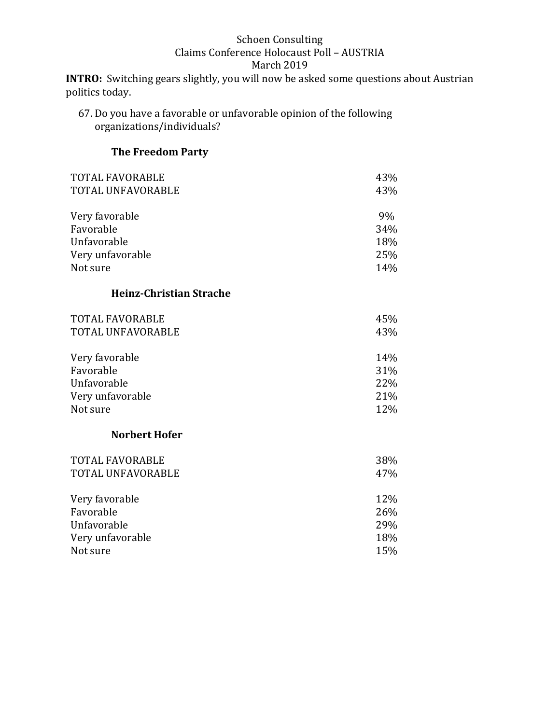**INTRO:** Switching gears slightly, you will now be asked some questions about Austrian politics today.

67. Do you have a favorable or unfavorable opinion of the following organizations/individuals?

### **The Freedom Party**

| TOTAL FAVORABLE   | 43% |
|-------------------|-----|
| TOTAL UNFAVORABLE | 43% |
|                   |     |
| Very favorable    | 9%  |
| Favorable         | 34% |
| Unfavorable       | 18% |
| Very unfavorable  | 25% |
| Not sure          | 14% |

### **Heinz-Christian Strache**

| <b>TOTAL FAVORABLE</b>   | 45%  |
|--------------------------|------|
| <b>TOTAL UNFAVORABLE</b> | 43%  |
| Very favorable           | 14%  |
| Favorable                | 31%  |
| $Ih$ forronabla          | າາທ/ |

| Unfavorable      | 22% |
|------------------|-----|
| Very unfavorable | 21% |
| Not sure         | 12% |

### **Norbert Hofer**

| <b>TOTAL FAVORABLE</b><br>TOTAL UNFAVORABLE | 38%<br>47% |
|---------------------------------------------|------------|
| Very favorable                              | 12%        |
| Favorable                                   | 26%        |
| Unfavorable                                 | 29%        |
| Very unfavorable                            | 18%        |
| Not sure                                    | 15%        |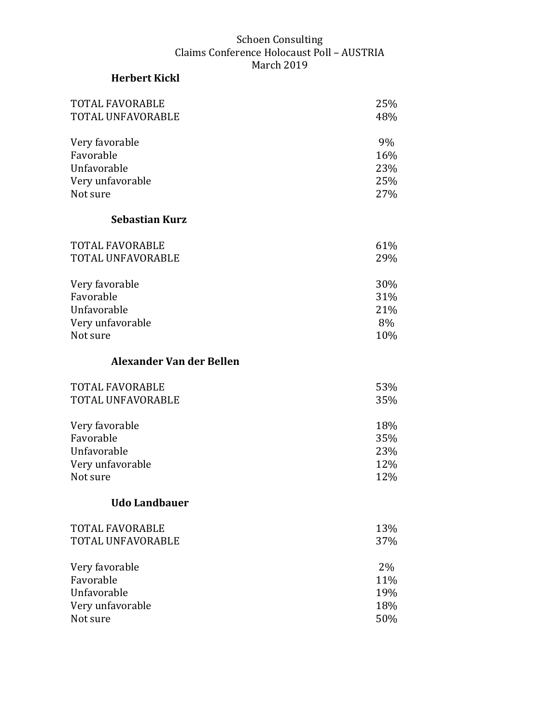# **Herbert Kickl**

| <b>TOTAL FAVORABLE</b>   | 25% |
|--------------------------|-----|
| TOTAL UNFAVORABLE        | 48% |
| Very favorable           | 9%  |
| Favorable                | 16% |
| Unfavorable              | 23% |
| Very unfavorable         | 25% |
| Not sure                 | 27% |
| <b>Sebastian Kurz</b>    |     |
| <b>TOTAL FAVORABLE</b>   | 61% |
| TOTAL UNFAVORABLE        | 29% |
| Very favorable           | 30% |
| Favorable                | 31% |
| Unfavorable              | 21% |
| Very unfavorable         | 8%  |
| Not sure                 | 10% |
| Alexander Van der Bellen |     |
|                          |     |
| <b>TOTAL FAVORABLE</b>   | 53% |
| TOTAL UNFAVORABLE        | 35% |
| Very favorable           | 18% |
| Favorable                | 35% |
| Unfavorable              | 23% |
| Very unfavorable         | 12% |
| Not sure                 | 12% |
| <b>Udo Landbauer</b>     |     |
| <b>TOTAL FAVORABLE</b>   | 13% |
| TOTAL UNFAVORABLE        | 37% |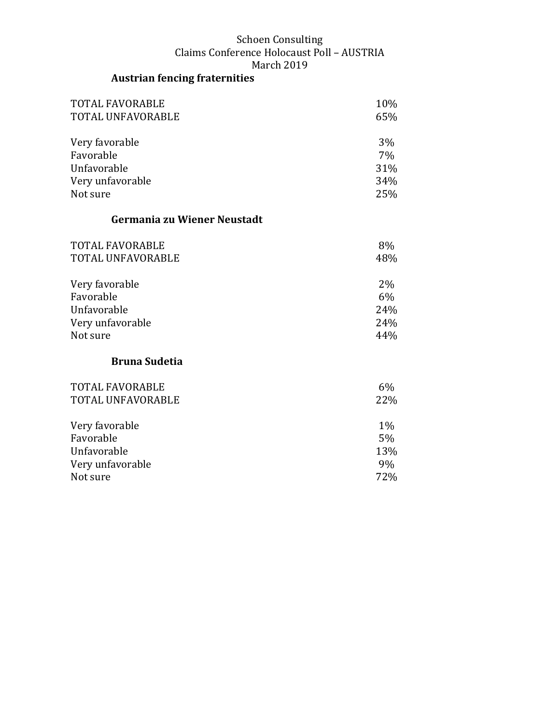# **Austrian fencing fraternities**

| <b>TOTAL FAVORABLE</b><br>TOTAL UNFAVORABLE | 10%<br>65% |
|---------------------------------------------|------------|
| Very favorable                              | 3%         |
| Favorable                                   | 7%         |
| Unfavorable                                 | 31%        |
| Very unfavorable                            | 34%        |
| Not sure                                    | 25%        |
| Germania zu Wiener Neustadt                 |            |
| <b>TOTAL FAVORABLE</b>                      | 8%         |
| TOTAL UNFAVORABLE                           | 48%        |
| Very favorable                              | 2%         |
| Favorable                                   | 6%         |
| Unfavorable                                 | 24%        |
| Very unfavorable                            | 24%        |
| Not sure                                    | 44%        |
| <b>Bruna Sudetia</b>                        |            |
| <b>TOTAL FAVORABLE</b>                      | $6\%$      |
| TOTAL UNFAVORABLE                           | 22%        |
| Very favorable                              | $1\%$      |
| Favorable                                   | $5\%$      |
| Unfavorable                                 | 13%        |
| Very unfavorable                            | 9%         |
| Not sure                                    | 72%        |
|                                             |            |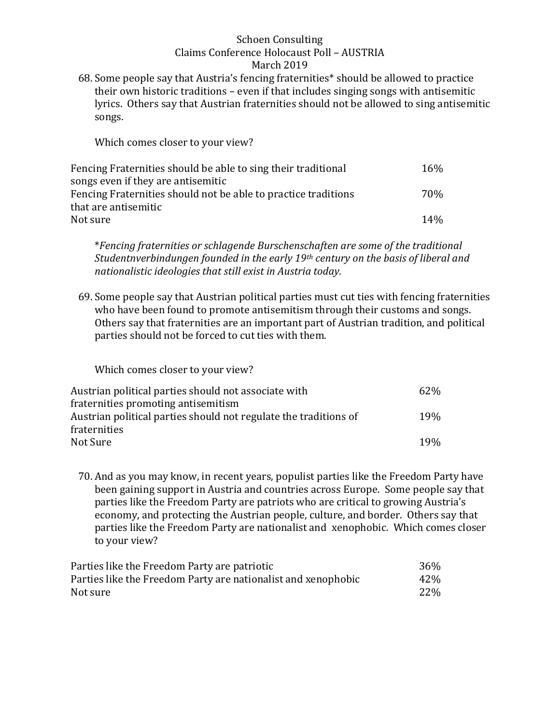68. Some people say that Austria's fencing fraternities\* should be allowed to practice their own historic traditions – even if that includes singing songs with antisemitic lyrics. Others say that Austrian fraternities should not be allowed to sing antisemitic songs.

Which comes closer to your view?

| Fencing Fraternities should be able to sing their traditional  | 16% |
|----------------------------------------------------------------|-----|
| songs even if they are antisemitic                             |     |
| Fencing Fraternities should not be able to practice traditions | 70% |
| that are antisemitic                                           |     |
| Not sure                                                       | 14% |

\**Fencing fraternities or schlagende Burschenschaften are some of the traditional Studentnverbindungen founded in the early 19th century on the basis of liberal and nationalistic ideologies that still exist in Austria today.* 

69. Some people say that Austrian political parties must cut ties with fencing fraternities who have been found to promote antisemitism through their customs and songs. Others say that fraternities are an important part of Austrian tradition, and political parties should not be forced to cut ties with them.

Which comes closer to your view?

| Austrian political parties should not associate with             | 62\%            |
|------------------------------------------------------------------|-----------------|
| fraternities promoting antisemitism                              |                 |
| Austrian political parties should not regulate the traditions of | 19 <sub>%</sub> |
| fraternities                                                     |                 |
| Not Sure                                                         | 19 <sub>%</sub> |

70. And as you may know, in recent years, populist parties like the Freedom Party have been gaining support in Austria and countries across Europe. Some people say that parties like the Freedom Party are patriots who are critical to growing Austria's economy, and protecting the Austrian people, culture, and border. Others say that parties like the Freedom Party are nationalist and xenophobic. Which comes closer to your view?

| Parties like the Freedom Party are patriotic                  | 36% |
|---------------------------------------------------------------|-----|
| Parties like the Freedom Party are nationalist and xenophobic | 42% |
| Not sure                                                      | 22% |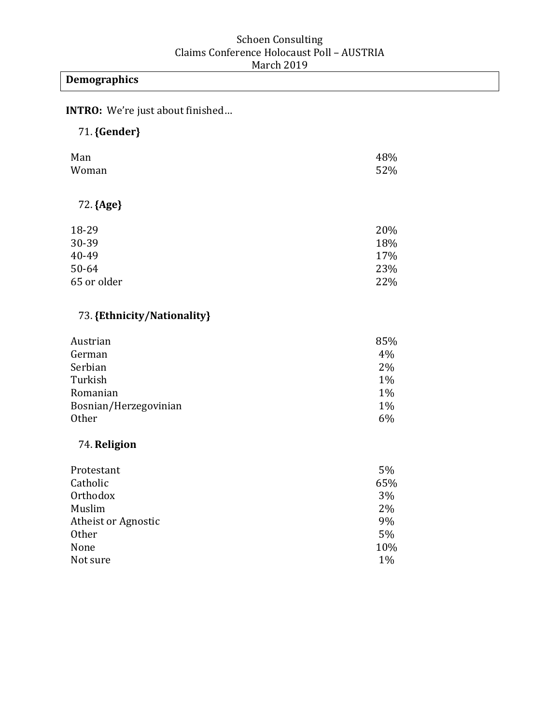# **Demographics**

**INTRO:** We're just about finished…

# 71.**{Gender}**

| Man<br>Woman | 48%<br>52% |
|--------------|------------|
| 72. {Age}    |            |
| 18-29        | 20%        |
| 30-39        | 18%        |
| 40-49        | 17%        |
| 50-64        | 23%        |
| 65 or older  | 22%        |

### 73.**{Ethnicity/Nationality}**

| Austrian              | 85%   |
|-----------------------|-------|
| German                | 4%    |
| Serbian               | $2\%$ |
| Turkish               | $1\%$ |
| Romanian              | $1\%$ |
| Bosnian/Herzegovinian | $1\%$ |
| <b>Other</b>          | 6%    |

### 74. **Religion**

| Protestant          | 5%    |
|---------------------|-------|
| Catholic            | 65%   |
| Orthodox            | 3%    |
| Muslim              | 2%    |
| Atheist or Agnostic | 9%    |
| Other               | 5%    |
| None                | 10%   |
| Not sure            | $1\%$ |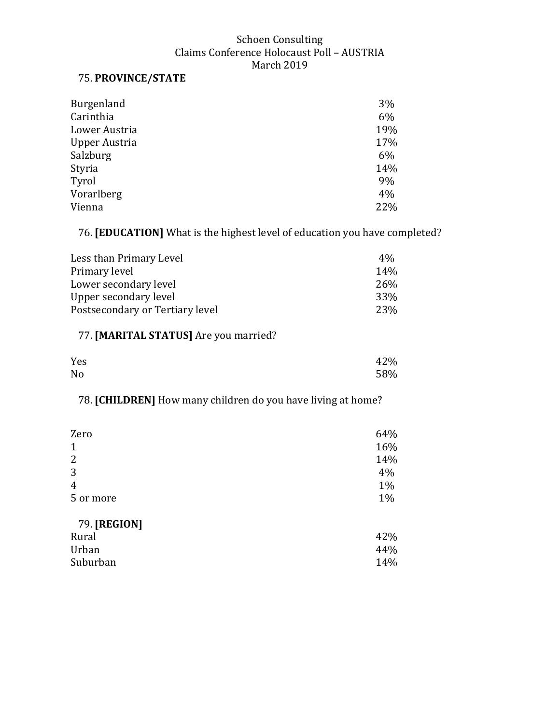### 75. **PROVINCE/STATE**

| Burgenland    | 3%  |
|---------------|-----|
| Carinthia     | 6%  |
| Lower Austria | 19% |
| Upper Austria | 17% |
| Salzburg      | 6%  |
| Styria        | 14% |
| Tyrol         | 9%  |
| Vorarlberg    | 4%  |
| Vienna        | 22% |

### 76. **[EDUCATION]** What is the highest level of education you have completed?

| Less than Primary Level         | $4\%$      |
|---------------------------------|------------|
| Primary level                   | 14%        |
| Lower secondary level           | <b>26%</b> |
| Upper secondary level           | 33%        |
| Postsecondary or Tertiary level | 23%        |

### 77. **[MARITAL STATUS]** Are you married?

| Yes            | 42% |
|----------------|-----|
| N <sub>o</sub> | 58% |

## 78. **[CHILDREN]** How many children do you have living at home?

| Zero           | 64% |
|----------------|-----|
| $\mathbf{1}$   | 16% |
| $\overline{2}$ | 14% |
| 3              | 4%  |
| $\overline{4}$ | 1%  |
| 5 or more      | 1%  |
| 79. [REGION]   |     |
| Rural          | 42% |
| Urban          | 44% |
| Suburban       | 14% |